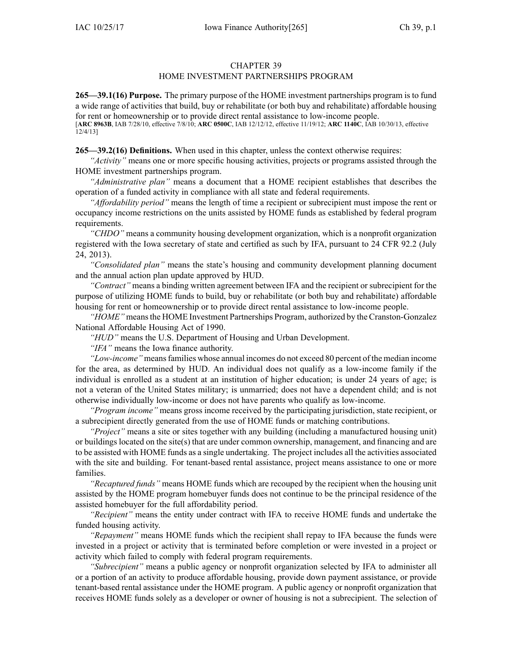### CHAPTER 39

# HOME INVESTMENT PARTNERSHIPS PROGRAM

**265—39.1(16) Purpose.** The primary purpose of the HOME investment partnerships program is to fund <sup>a</sup> wide range of activities that build, buy or rehabilitate (or both buy and rehabilitate) affordable housing for rent or homeownership or to provide direct rental assistance to low-income people.

[**ARC [8963B](https://www.legis.iowa.gov/docs/aco/arc/8963B.pdf)**, IAB 7/28/10, effective 7/8/10; **ARC [0500C](https://www.legis.iowa.gov/docs/aco/arc/0500C.pdf)**, IAB 12/12/12, effective 11/19/12; **ARC [1140C](https://www.legis.iowa.gov/docs/aco/arc/1140C.pdf)**, IAB 10/30/13, effective 12/4/13]

**265—39.2(16) Definitions.** When used in this chapter, unless the context otherwise requires:

*"Activity"* means one or more specific housing activities, projects or programs assisted through the HOME investment partnerships program.

*"Administrative plan"* means <sup>a</sup> document that <sup>a</sup> HOME recipient establishes that describes the operation of <sup>a</sup> funded activity in compliance with all state and federal requirements.

*"Affordability period"* means the length of time <sup>a</sup> recipient or subrecipient must impose the rent or occupancy income restrictions on the units assisted by HOME funds as established by federal program requirements.

*"CHDO"* means <sup>a</sup> community housing development organization, which is <sup>a</sup> nonprofit organization registered with the Iowa secretary of state and certified as such by IFA, pursuan<sup>t</sup> to 24 CFR 92.2 (July 24, 2013).

*"Consolidated plan"* means the state's housing and community development planning document and the annual action plan update approved by HUD.

*"Contract"* means <sup>a</sup> binding written agreemen<sup>t</sup> between IFA and the recipient or subrecipient for the purpose of utilizing HOME funds to build, buy or rehabilitate (or both buy and rehabilitate) affordable housing for rent or homeownership or to provide direct rental assistance to low-income people.

*"HOME"* meansthe HOME Investment Partnerships Program, authorized by the Cranston-Gonzalez National Affordable Housing Act of 1990.

*"HUD"* means the U.S. Department of Housing and Urban Development.

*"IFA"* means the Iowa finance authority.

*"Low-income"* meansfamilies whose annual incomes do not exceed 80 percen<sup>t</sup> of the median income for the area, as determined by HUD. An individual does not qualify as <sup>a</sup> low-income family if the individual is enrolled as <sup>a</sup> student at an institution of higher education; is under 24 years of age; is not <sup>a</sup> veteran of the United States military; is unmarried; does not have <sup>a</sup> dependent child; and is not otherwise individually low-income or does not have parents who qualify as low-income.

*"Program income"* means gross income received by the participating jurisdiction, state recipient, or <sup>a</sup> subrecipient directly generated from the use of HOME funds or matching contributions.

*"Project"* means <sup>a</sup> site or sites together with any building (including <sup>a</sup> manufactured housing unit) or buildings located on the site(s) that are under common ownership, management, and financing and are to be assisted with HOME funds as <sup>a</sup> single undertaking. The project includes all the activities associated with the site and building. For tenant-based rental assistance, project means assistance to one or more families.

*"Recaptured funds"* means HOME funds which are recouped by the recipient when the housing unit assisted by the HOME program homebuyer funds does not continue to be the principal residence of the assisted homebuyer for the full affordability period.

*"Recipient"* means the entity under contract with IFA to receive HOME funds and undertake the funded housing activity.

*"Repayment"* means HOME funds which the recipient shall repay to IFA because the funds were invested in <sup>a</sup> project or activity that is terminated before completion or were invested in <sup>a</sup> project or activity which failed to comply with federal program requirements.

*"Subrecipient"* means <sup>a</sup> public agency or nonprofit organization selected by IFA to administer all or <sup>a</sup> portion of an activity to produce affordable housing, provide down paymen<sup>t</sup> assistance, or provide tenant-based rental assistance under the HOME program. A public agency or nonprofit organization that receives HOME funds solely as <sup>a</sup> developer or owner of housing is not <sup>a</sup> subrecipient. The selection of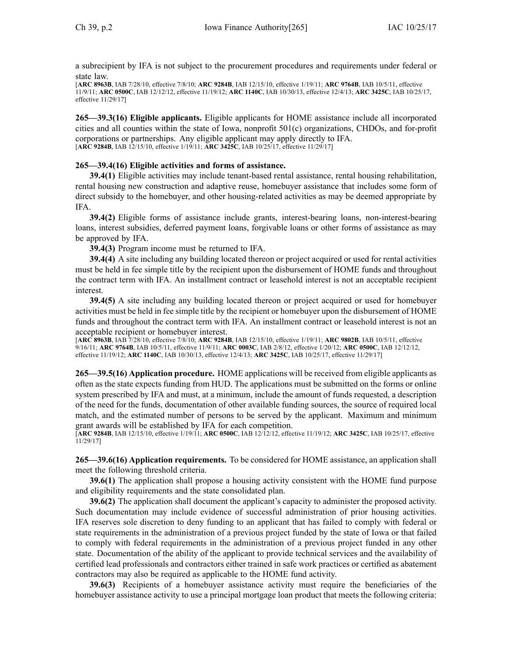<sup>a</sup> subrecipient by IFA is not subject to the procuremen<sup>t</sup> procedures and requirements under federal or state law.

[**ARC [8963B](https://www.legis.iowa.gov/docs/aco/arc/8963B.pdf)**, IAB 7/28/10, effective 7/8/10; **ARC [9284B](https://www.legis.iowa.gov/docs/aco/arc/9284B.pdf)**, IAB 12/15/10, effective 1/19/11; **ARC [9764B](https://www.legis.iowa.gov/docs/aco/arc/9764B.pdf)**, IAB 10/5/11, effective 11/9/11; **ARC [0500C](https://www.legis.iowa.gov/docs/aco/arc/0500C.pdf)**, IAB 12/12/12, effective 11/19/12; **ARC [1140C](https://www.legis.iowa.gov/docs/aco/arc/1140C.pdf)**, IAB 10/30/13, effective 12/4/13; **ARC [3425C](https://www.legis.iowa.gov/docs/aco/arc/3425C.pdf)**, IAB 10/25/17, effective 11/29/17]

**265—39.3(16) Eligible applicants.** Eligible applicants for HOME assistance include all incorporated cities and all counties within the state of Iowa, nonprofit 501(c) organizations, CHDOs, and for-profit corporations or partnerships. Any eligible applicant may apply directly to IFA. [**ARC [9284B](https://www.legis.iowa.gov/docs/aco/arc/9284B.pdf)**, IAB 12/15/10, effective 1/19/11; **ARC [3425C](https://www.legis.iowa.gov/docs/aco/arc/3425C.pdf)**, IAB 10/25/17, effective 11/29/17]

# **265—39.4(16) Eligible activities and forms of assistance.**

**39.4(1)** Eligible activities may include tenant-based rental assistance, rental housing rehabilitation, rental housing new construction and adaptive reuse, homebuyer assistance that includes some form of direct subsidy to the homebuyer, and other housing-related activities as may be deemed appropriate by IFA.

**39.4(2)** Eligible forms of assistance include grants, interest-bearing loans, non-interest-bearing loans, interest subsidies, deferred paymen<sup>t</sup> loans, forgivable loans or other forms of assistance as may be approved by IFA.

**39.4(3)** Program income must be returned to IFA.

**39.4(4)** A site including any building located thereon or project acquired or used for rental activities must be held in fee simple title by the recipient upon the disbursement of HOME funds and throughout the contract term with IFA. An installment contract or leasehold interest is not an acceptable recipient interest.

**39.4(5)** A site including any building located thereon or project acquired or used for homebuyer activities must be held in fee simple title by the recipient or homebuyer upon the disbursement of HOME funds and throughout the contract term with IFA. An installment contract or leasehold interest is not an acceptable recipient or homebuyer interest.

[**ARC [8963B](https://www.legis.iowa.gov/docs/aco/arc/8963B.pdf)**, IAB 7/28/10, effective 7/8/10; **ARC [9284B](https://www.legis.iowa.gov/docs/aco/arc/9284B.pdf)**, IAB 12/15/10, effective 1/19/11; **ARC [9802B](https://www.legis.iowa.gov/docs/aco/arc/9802B.pdf)**, IAB 10/5/11, effective 9/16/11; **ARC [9764B](https://www.legis.iowa.gov/docs/aco/arc/9764B.pdf)**, IAB 10/5/11, effective 11/9/11; **ARC [0003C](https://www.legis.iowa.gov/docs/aco/arc/0003C.pdf)**, IAB 2/8/12, effective 1/20/12; **ARC [0500C](https://www.legis.iowa.gov/docs/aco/arc/0500C.pdf)**, IAB 12/12/12, effective 11/19/12; **ARC [1140C](https://www.legis.iowa.gov/docs/aco/arc/1140C.pdf)**, IAB 10/30/13, effective 12/4/13; **ARC [3425C](https://www.legis.iowa.gov/docs/aco/arc/3425C.pdf)**, IAB 10/25/17, effective 11/29/17]

**265—39.5(16) Application procedure.** HOME applications will be received from eligible applicants as often as the state expects funding from HUD. The applications must be submitted on the forms or online system prescribed by IFA and must, at <sup>a</sup> minimum, include the amount of funds requested, <sup>a</sup> description of the need for the funds, documentation of other available funding sources, the source of required local match, and the estimated number of persons to be served by the applicant. Maximum and minimum gran<sup>t</sup> awards will be established by IFA for each competition.

[**ARC [9284B](https://www.legis.iowa.gov/docs/aco/arc/9284B.pdf)**, IAB 12/15/10, effective 1/19/11; **ARC [0500C](https://www.legis.iowa.gov/docs/aco/arc/0500C.pdf)**, IAB 12/12/12, effective 11/19/12; **ARC [3425C](https://www.legis.iowa.gov/docs/aco/arc/3425C.pdf)**, IAB 10/25/17, effective 11/29/17]

**265—39.6(16) Application requirements.** To be considered for HOME assistance, an application shall meet the following threshold criteria.

**39.6(1)** The application shall propose <sup>a</sup> housing activity consistent with the HOME fund purpose and eligibility requirements and the state consolidated plan.

**39.6(2)** The application shall document the applicant's capacity to administer the proposed activity. Such documentation may include evidence of successful administration of prior housing activities. IFA reserves sole discretion to deny funding to an applicant that has failed to comply with federal or state requirements in the administration of <sup>a</sup> previous project funded by the state of Iowa or that failed to comply with federal requirements in the administration of <sup>a</sup> previous project funded in any other state. Documentation of the ability of the applicant to provide technical services and the availability of certified lead professionals and contractors either trained in safe work practices or certified as abatement contractors may also be required as applicable to the HOME fund activity.

**39.6(3)** Recipients of <sup>a</sup> homebuyer assistance activity must require the beneficiaries of the homebuyer assistance activity to use <sup>a</sup> principal mortgage loan product that meets the following criteria: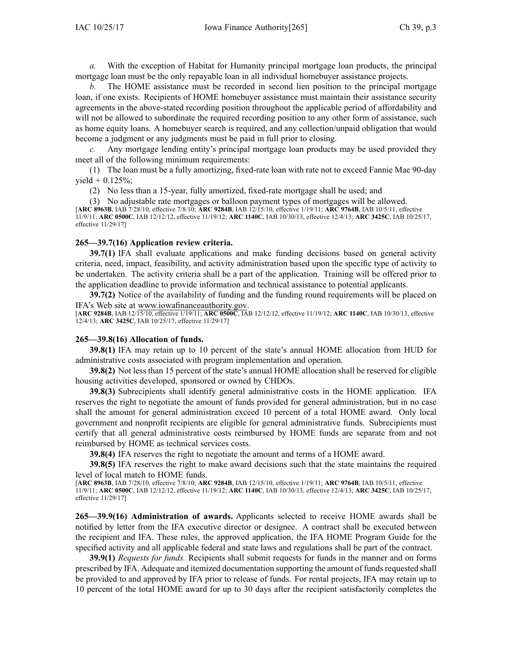*a.* With the exception of Habitat for Humanity principal mortgage loan products, the principal mortgage loan must be the only repayable loan in all individual homebuyer assistance projects.

*b.* The HOME assistance must be recorded in second lien position to the principal mortgage loan, if one exists. Recipients of HOME homebuyer assistance must maintain their assistance security agreements in the above-stated recording position throughout the applicable period of affordability and will not be allowed to subordinate the required recording position to any other form of assistance, such as home equity loans. A homebuyer search is required, and any collection/unpaid obligation that would become <sup>a</sup> judgment or any judgments must be paid in full prior to closing.

*c.* Any mortgage lending entity's principal mortgage loan products may be used provided they meet all of the following minimum requirements:

(1) The loan must be <sup>a</sup> fully amortizing, fixed-rate loan with rate not to exceed Fannie Mae 90-day yield <sup>+</sup> 0.125%;

(2) No less than <sup>a</sup> 15-year, fully amortized, fixed-rate mortgage shall be used; and

(3) No adjustable rate mortgages or balloon paymen<sup>t</sup> types of mortgages will be allowed. [**ARC [8963B](https://www.legis.iowa.gov/docs/aco/arc/8963B.pdf)**, IAB 7/28/10, effective 7/8/10; **ARC [9284B](https://www.legis.iowa.gov/docs/aco/arc/9284B.pdf)**, IAB 12/15/10, effective 1/19/11; **ARC [9764B](https://www.legis.iowa.gov/docs/aco/arc/9764B.pdf)**, IAB 10/5/11, effective 11/9/11; **ARC [0500C](https://www.legis.iowa.gov/docs/aco/arc/0500C.pdf)**, IAB 12/12/12, effective 11/19/12; **ARC [1140C](https://www.legis.iowa.gov/docs/aco/arc/1140C.pdf)**, IAB 10/30/13, effective 12/4/13; **ARC [3425C](https://www.legis.iowa.gov/docs/aco/arc/3425C.pdf)**, IAB 10/25/17, effective 11/29/17]

### **265—39.7(16) Application review criteria.**

**39.7(1)** IFA shall evaluate applications and make funding decisions based on general activity criteria, need, impact, feasibility, and activity administration based upon the specific type of activity to be undertaken. The activity criteria shall be <sup>a</sup> par<sup>t</sup> of the application. Training will be offered prior to the application deadline to provide information and technical assistance to potential applicants.

**39.7(2)** Notice of the availability of funding and the funding round requirements will be placed on IFA's Web site at [www.iowafinanceauthority.gov](http://www.iowafinanceauthority.gov).

[**ARC [9284B](https://www.legis.iowa.gov/docs/aco/arc/9284B.pdf)**, IAB 12/15/10, effective 1/19/11; **ARC [0500C](https://www.legis.iowa.gov/docs/aco/arc/0500C.pdf)**, IAB 12/12/12, effective 11/19/12; **ARC [1140C](https://www.legis.iowa.gov/docs/aco/arc/1140C.pdf)**, IAB 10/30/13, effective 12/4/13; **ARC [3425C](https://www.legis.iowa.gov/docs/aco/arc/3425C.pdf)**, IAB 10/25/17, effective 11/29/17]

#### **265—39.8(16) Allocation of funds.**

**39.8(1)** IFA may retain up to 10 percen<sup>t</sup> of the state's annual HOME allocation from HUD for administrative costs associated with program implementation and operation.

**39.8(2)** Not less than 15 percen<sup>t</sup> of the state's annual HOME allocation shall be reserved for eligible housing activities developed, sponsored or owned by CHDOs.

**39.8(3)** Subrecipients shall identify general administrative costs in the HOME application. IFA reserves the right to negotiate the amount of funds provided for general administration, but in no case shall the amount for general administration exceed 10 percen<sup>t</sup> of <sup>a</sup> total HOME award. Only local governmen<sup>t</sup> and nonprofit recipients are eligible for general administrative funds. Subrecipients must certify that all general administrative costs reimbursed by HOME funds are separate from and not reimbursed by HOME as technical services costs.

**39.8(4)** IFA reserves the right to negotiate the amount and terms of <sup>a</sup> HOME award.

**39.8(5)** IFA reserves the right to make award decisions such that the state maintains the required level of local match to HOME funds.

[**ARC [8963B](https://www.legis.iowa.gov/docs/aco/arc/8963B.pdf)**, IAB 7/28/10, effective 7/8/10; **ARC [9284B](https://www.legis.iowa.gov/docs/aco/arc/9284B.pdf)**, IAB 12/15/10, effective 1/19/11; **ARC [9764B](https://www.legis.iowa.gov/docs/aco/arc/9764B.pdf)**, IAB 10/5/11, effective 11/9/11; **ARC [0500C](https://www.legis.iowa.gov/docs/aco/arc/0500C.pdf)**, IAB 12/12/12, effective 11/19/12; **ARC [1140C](https://www.legis.iowa.gov/docs/aco/arc/1140C.pdf)**, IAB 10/30/13, effective 12/4/13; **ARC [3425C](https://www.legis.iowa.gov/docs/aco/arc/3425C.pdf)**, IAB 10/25/17, effective 11/29/17]

**265—39.9(16) Administration of awards.** Applicants selected to receive HOME awards shall be notified by letter from the IFA executive director or designee. A contract shall be executed between the recipient and IFA. These rules, the approved application, the IFA HOME Program Guide for the specified activity and all applicable federal and state laws and regulations shall be par<sup>t</sup> of the contract.

**39.9(1)** *Requests for funds.* Recipients shall submit requests for funds in the manner and on forms prescribed by IFA. Adequate and itemized documentation supporting the amount of fundsrequested shall be provided to and approved by IFA prior to release of funds. For rental projects, IFA may retain up to 10 percen<sup>t</sup> of the total HOME award for up to 30 days after the recipient satisfactorily completes the